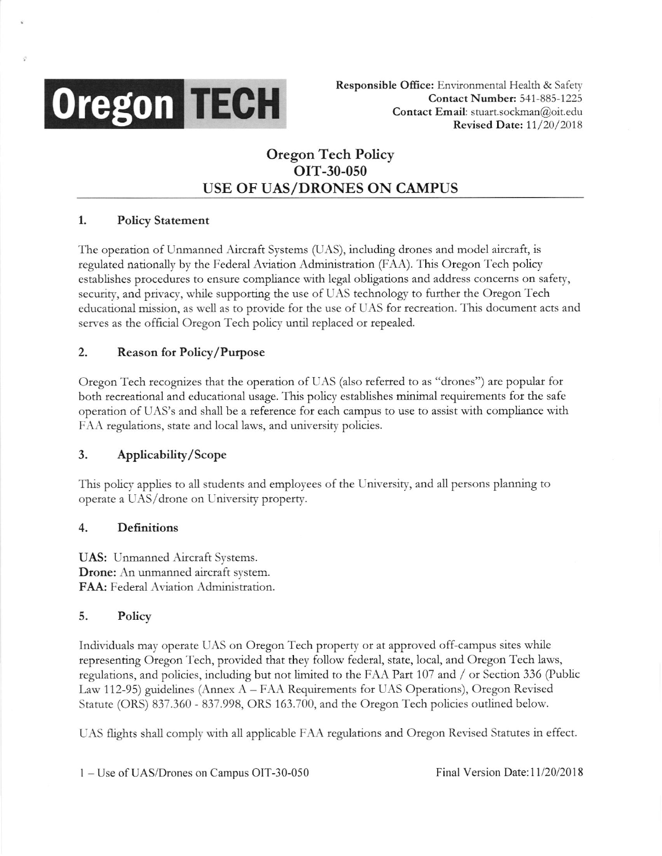

Responsible Office: Environmental Health & Safety Contact Number: 541-885-1225 Contact Email: stuart.sockman@oit.edu Revised Date: 11/20/2018

# Oregon Tech Policy orT-30-050 USE OF UAS/DRONES ON CAMPUS

## 1. Policy Statement

The operation of Unmanned Aircraft Systems (UAS), including drones and model aircraft, is regulated nationally by the Federal Aviation Administtation (FAA). This Oregon Tech policy establishes procedures to ensure compliance with legal obligations and address concems on safety, secunty, and privacy, while supporting the use of UAS technology to further the Otegon Tech educational mission, as well as to provide for the use ofUAS fot tecreation. This document acts and serves as the official Oregon Tech policy until replaced or repealed.

## 2. Reason for Policy/Purpose

Oregon Tech recognizes that the operation of UAS (also referred to as "drones") are popular for both recreational and educational usage. This policy establishes minimal requirements for the safe operation of UAS's and shall be a reference for each campus to use to assist with compliance with FAA regulations, state and local laws, and university policies.

### 3. Applicability/Scope

This policy applies to all students and employees of the University, and all persons planning to operate a UAS/drone on University property.

### 4. Definitions

UAS: Unmanned Aircraft Systems. Drone: An unmanned aircraft system. FAA: Federal Aviation Administration.

#### 5. Policy

Individuals may operate UAS on Oregon Tech property ot at approved off campus sites while representing Oregon Tech, provided that they follow federal, state, local, and Oregon Tech laws, regulations, and policies, including but not limited to the FAA Part 107 and / or Section 336 (Public Law 112-95) guidelines (Annex  $A$  – FAA Requirements for UAS Operations), Oregon Revised Statute (ORS) 837.360 - 837.998, ORS 163.700, and the Oregon Tech policies outlined below.

UAS flights shall comply with all applicable FAA regulations and Oregon Revised Statutes in effect.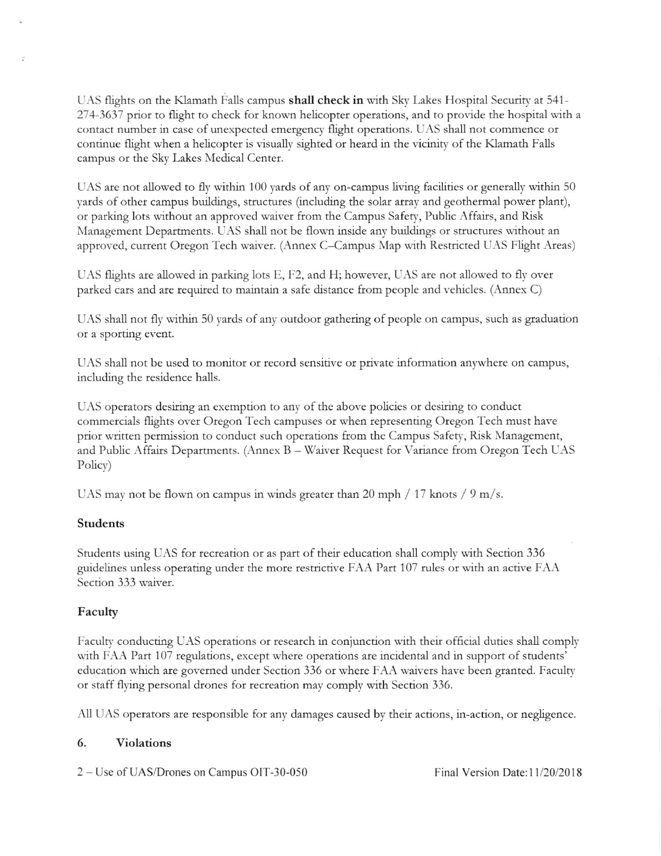UAS flights on the Klamath Falls campus **shall check in** with Sky Lakes Hospital Security at 541-274-3637 prior to flight to check for known helicopter operations, and to provide the hospital with a contact number in case of unexpected emergency flight operations. UAS shall not commence or continue flight when a helicopter is visually sighted or heard in the vicinity of the Klamath Falls campus or the Sky Lakes Medical Center.

UAS are not allowed to fly within 100 yards of anv on campus living facilities or genetally within 50 vards of other campus buildings, structures (including the solar array and geothermal power plant), or parking lots without an approved waiver from the Campus Safety, Public Affairs, and Risk Management Departments. UAS shall not be flown inside any buildings or structures without an approved, current Oregon Tech waiver. (Annex C-Campus Map with Restricted UAS Flight Areas)

UAS flights are allowed in parking lots E, F2, and H; however, LIAS are not allowed to fly over parked cars and are tequired to maintain a safe distance ftom people and vehicles. (Annex C)

UAS shall not fly within 50 yards of any outdoor gathering of people on campus, such as graduation or a sporting event.

UAS shall not be used to monitor or record sensitive or private information anywhere on campus, including the residence halls.

UAS operators desiring an exemption to any of the above policies or desiring to conduct commercials flights over Oregon Tech campuses or when reptesenting Oregon Tech must have prior written permission to conduct such operations from the Campus Safety, Risk Management, and Public Affairs Departments. (Annex B – Waiver Request for Variance from Oregon Tech UAS Policy)

UAS may not be flown on campus in winds greater than 20 mph  $/ 17$  knots  $/ 9$  m/s.

### Students

Students using UAS for recreation or as part of their education shall comply with Section 336 guidelines unless operating under the more restrictive FAA Part 107 rules or with an active FAA Section 333 waiver.

### Facultv

Faculty conducting UAS operations or research in conjunction with their official duties shall comply with FAA Part 107 regulations, except where operations are incidental and in support of students' education which are governed under Section 336 or where FAA waivers have been granted. Faculty or staff flying personal drones for recreation may comply with Section 336.

All UAS operators ate responsible for any damages caused by their actions, in-action, or negligence.

### 6. Yiolations

2 – Use of UAS/Drones on Campus OIT-30-050 Final Version Date: 11/20/2018